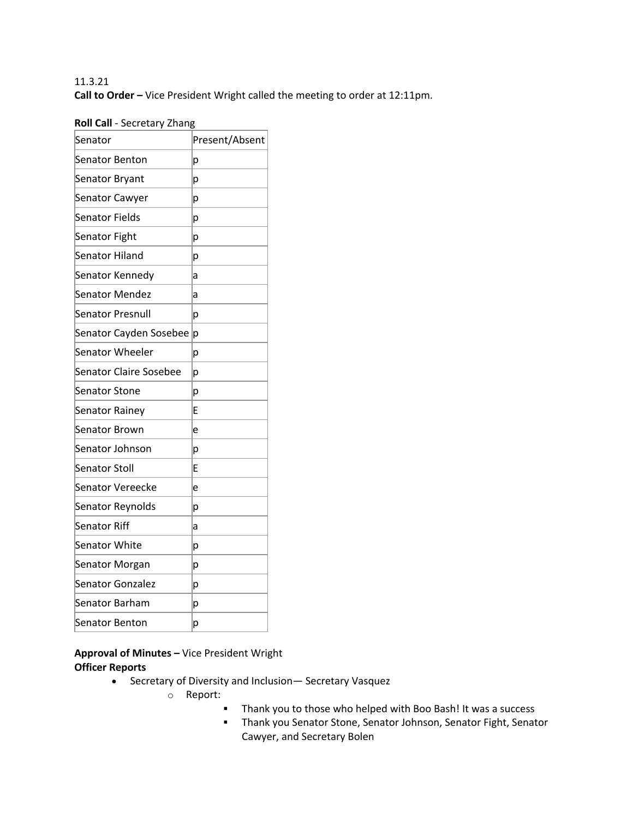# 11.3.21 **Call to Order –** Vice President Wright called the meeting to order at 12:11pm.

# **Roll Call** - Secretary Zhang

| Senator                       | Present/Absent |
|-------------------------------|----------------|
| <b>Senator Benton</b>         | р              |
| Senator Bryant                | р              |
| Senator Cawyer                | р              |
| Senator Fields                | р              |
| Senator Fight                 | p              |
| Senator Hiland                | р              |
| Senator Kennedy               | а              |
| <b>Senator Mendez</b>         | a              |
| Senator Presnull              | p              |
| Senator Cayden Sosebee        | p              |
| Senator Wheeler               | р              |
| <b>Senator Claire Sosebee</b> | p              |
| <b>Senator Stone</b>          | р              |
| Senator Rainey                | E              |
| Senator Brown                 | e              |
| Senator Johnson               | p              |
| <b>Senator Stoll</b>          | E              |
| <b>Senator Vereecke</b>       | e              |
| Senator Reynolds              | р              |
| <b>Senator Riff</b>           | а              |
| <b>Senator White</b>          | р              |
| Senator Morgan                | р              |
| <b>Senator Gonzalez</b>       | p              |
| Senator Barham                | р              |
| <b>Senator Benton</b>         | р              |
|                               |                |

**Approval of Minutes –** Vice President Wright **Officer Reports**

- Secretary of Diversity and Inclusion— Secretary Vasquez
	- o Report:
		- § Thank you to those who helped with Boo Bash! It was a success
		- § Thank you Senator Stone, Senator Johnson, Senator Fight, Senator Cawyer, and Secretary Bolen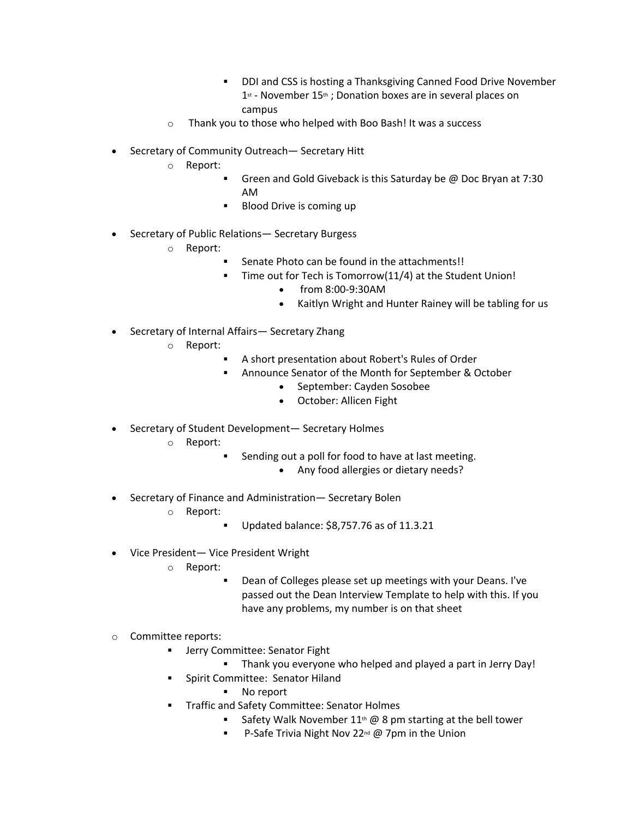- § DDI and CSS is hosting a Thanksgiving Canned Food Drive November  $1<sup>st</sup>$  - November  $15<sup>th</sup>$ ; Donation boxes are in several places on campus
- o Thank you to those who helped with Boo Bash! It was a success
- Secretary of Community Outreach— Secretary Hitt
	- o Report:
		- Green and Gold Giveback is this Saturday be @ Doc Bryan at 7:30 AM
		- Blood Drive is coming up
- Secretary of Public Relations— Secretary Burgess
	- o Report:
		- Senate Photo can be found in the attachments!!
		- Time out for Tech is Tomorrow(11/4) at the Student Union!
			- from 8:00-9:30AM
			- Kaitlyn Wright and Hunter Rainey will be tabling for us
- Secretary of Internal Affairs-Secretary Zhang
	- o Report:
		- § A short presentation about Robert's Rules of Order
		- Announce Senator of the Month for September & October
			- September: Cayden Sosobee
			- October: Allicen Fight
- Secretary of Student Development— Secretary Holmes
	- o Report:
		- Sending out a poll for food to have at last meeting.
			- Any food allergies or dietary needs?
- Secretary of Finance and Administration— Secretary Bolen
	- o Report:
		- § Updated balance: \$8,757.76 as of 11.3.21
- Vice President— Vice President Wright
	- o Report:
		- Dean of Colleges please set up meetings with your Deans. I've passed out the Dean Interview Template to help with this. If you have any problems, my number is on that sheet
- o Committee reports:
	- Jerry Committee: Senator Fight
		- **Thank you everyone who helped and played a part in Jerry Day!**
		- § Spirit Committee: Senator Hiland
			- § No report
	- § Traffic and Safety Committee: Senator Holmes
		- Safety Walk November  $11<sup>th</sup>$  @ 8 pm starting at the bell tower
		- P-Safe Trivia Night Nov 22<sup>nd</sup> @ 7pm in the Union